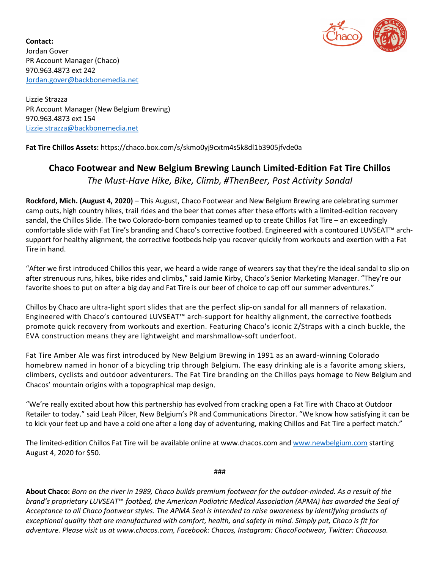

**Contact:**  Jordan Gover PR Account Manager (Chaco) 970.963.4873 ext 242 Jordan.gover@backbonemedia.net

Lizzie Strazza PR Account Manager (New Belgium Brewing) 970.963.4873 ext 154 Lizzie.strazza@backbonemedia.net

**Fat Tire Chillos Assets:** https://chaco.box.com/s/skmo0yj9cxtm4s5k8dl1b3905jfvde0a

## **Chaco Footwear and New Belgium Brewing Launch Limited-Edition Fat Tire Chillos**  *The Must-Have Hike, Bike, Climb, #ThenBeer, Post Activity Sandal*

**Rockford, Mich. (August 4, 2020)** – This August, Chaco Footwear and New Belgium Brewing are celebrating summer camp outs, high country hikes, trail rides and the beer that comes after these efforts with a limited-edition recovery sandal, the Chillos Slide. The two Colorado-born companies teamed up to create Chillos Fat Tire – an exceedingly comfortable slide with Fat Tire's branding and Chaco's corrective footbed. Engineered with a contoured LUVSEAT™ archsupport for healthy alignment, the corrective footbeds help you recover quickly from workouts and exertion with a Fat Tire in hand.

"After we first introduced Chillos this year, we heard a wide range of wearers say that they're the ideal sandal to slip on after strenuous runs, hikes, bike rides and climbs," said Jamie Kirby, Chaco's Senior Marketing Manager. "They're our favorite shoes to put on after a big day and Fat Tire is our beer of choice to cap off our summer adventures."

Chillos by Chaco are ultra-light sport slides that are the perfect slip-on sandal for all manners of relaxation. Engineered with Chaco's contoured LUVSEAT™ arch-support for healthy alignment, the corrective footbeds promote quick recovery from workouts and exertion. Featuring Chaco's iconic Z/Straps with a cinch buckle, the EVA construction means they are lightweight and marshmallow-soft underfoot.

Fat Tire Amber Ale was first introduced by New Belgium Brewing in 1991 as an award-winning Colorado homebrew named in honor of a bicycling trip through Belgium. The easy drinking ale is a favorite among skiers, climbers, cyclists and outdoor adventurers. The Fat Tire branding on the Chillos pays homage to New Belgium and Chacos' mountain origins with a topographical map design.

"We're really excited about how this partnership has evolved from cracking open a Fat Tire with Chaco at Outdoor Retailer to today." said Leah Pilcer, New Belgium's PR and Communications Director. "We know how satisfying it can be to kick your feet up and have a cold one after a long day of adventuring, making Chillos and Fat Tire a perfect match."

The limited-edition Chillos Fat Tire will be available online at www.chacos.com and www.newbelgium.com starting August 4, 2020 for \$50.

###

**About Chaco:** *Born on the river in 1989, Chaco builds premium footwear for the outdoor-minded. As a result of the brand's proprietary LUVSEAT*™ *footbed, the American Podiatric Medical Association (APMA) has awarded the Seal of Acceptance to all Chaco footwear styles. The APMA Seal is intended to raise awareness by identifying products of exceptional quality that are manufactured with comfort, health, and safety in mind. Simply put, Chaco is fit for adventure. Please visit us at www.chacos.com, Facebook: Chacos, Instagram: ChacoFootwear, Twitter: Chacousa.*